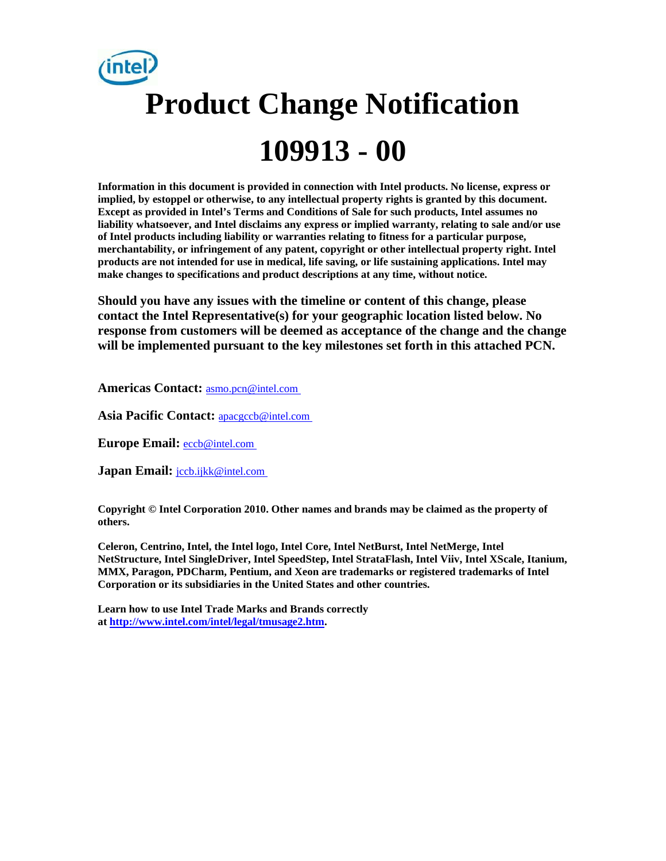# **Product Change Notification 109913 - 00**

**Information in this document is provided in connection with Intel products. No license, express or implied, by estoppel or otherwise, to any intellectual property rights is granted by this document. Except as provided in Intel's Terms and Conditions of Sale for such products, Intel assumes no liability whatsoever, and Intel disclaims any express or implied warranty, relating to sale and/or use of Intel products including liability or warranties relating to fitness for a particular purpose, merchantability, or infringement of any patent, copyright or other intellectual property right. Intel products are not intended for use in medical, life saving, or life sustaining applications. Intel may make changes to specifications and product descriptions at any time, without notice.** 

**Should you have any issues with the timeline or content of this change, please contact the Intel Representative(s) for your geographic location listed below. No response from customers will be deemed as acceptance of the change and the change will be implemented pursuant to the key milestones set forth in this attached PCN.** 

**Americas Contact:** [asmo.pcn@intel.com](mailto:asmo.pcn@intel.com) 

**Asia Pacific Contact:** [apacgccb@intel.com](mailto:apacgccb@intel.com) 

**Europe Email:** [eccb@intel.com](mailto:eccb@intel.com) 

Japan Email: **jccb.ijkk@intel.com** 

**Copyright © Intel Corporation 2010. Other names and brands may be claimed as the property of others.**

**Celeron, Centrino, Intel, the Intel logo, Intel Core, Intel NetBurst, Intel NetMerge, Intel NetStructure, Intel SingleDriver, Intel SpeedStep, Intel StrataFlash, Intel Viiv, Intel XScale, Itanium, MMX, Paragon, PDCharm, Pentium, and Xeon are trademarks or registered trademarks of Intel Corporation or its subsidiaries in the United States and other countries.** 

**Learn how to use Intel Trade Marks and Brands correctly at <http://www.intel.com/intel/legal/tmusage2.htm>.**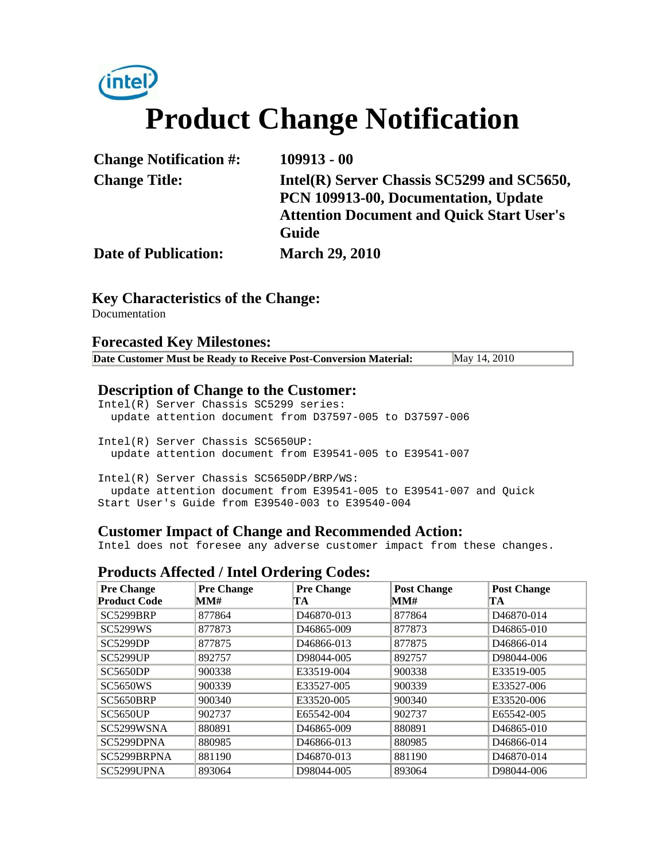## intel) **Product Change Notification**

| <b>Change Notification #:</b> | $109913 - 00$                                    |
|-------------------------------|--------------------------------------------------|
| <b>Change Title:</b>          | Intel(R) Server Chassis SC5299 and SC5650,       |
|                               | PCN 109913-00, Documentation, Update             |
|                               | <b>Attention Document and Quick Start User's</b> |
|                               | Guide                                            |
| <b>Date of Publication:</b>   | <b>March 29, 2010</b>                            |

#### **Key Characteristics of the Change:**

**Documentation** 

#### **Forecasted Key Milestones:**

| Date Customer Must be Ready to Receive Post-Conversion Material: | May 14, 2010 |  |
|------------------------------------------------------------------|--------------|--|
|------------------------------------------------------------------|--------------|--|

#### **Description of Change to the Customer:**

Intel(R) Server Chassis SC5299 series: update attention document from D37597-005 to D37597-006

Intel(R) Server Chassis SC5650UP: update attention document from E39541-005 to E39541-007

Intel(R) Server Chassis SC5650DP/BRP/WS: update attention document from E39541-005 to E39541-007 and Quick Start User's Guide from E39540-003 to E39540-004

#### **Customer Impact of Change and Recommended Action:**

Intel does not foresee any adverse customer impact from these changes.

#### **Products Affected / Intel Ordering Codes:**

| <b>Pre Change</b>   | <b>Pre Change</b> | <b>Pre Change</b>       | <b>Post Change</b> | <b>Post Change</b>      |
|---------------------|-------------------|-------------------------|--------------------|-------------------------|
| <b>Product Code</b> | MM#               | TA                      | MM#                | TA                      |
| <b>SC5299BRP</b>    | 877864            | D46870-013              | 877864             | D <sub>46870</sub> -014 |
| <b>SC5299WS</b>     | 877873            | D <sub>46865</sub> -009 | 877873             | D <sub>46865</sub> -010 |
| <b>SC5299DP</b>     | 877875            | D <sub>46866</sub> -013 | 877875             | D46866-014              |
| <b>SC5299UP</b>     | 892757            | D98044-005              | 892757             | D98044-006              |
| <b>SC5650DP</b>     | 900338            | E33519-004              | 900338             | E33519-005              |
| <b>SC5650WS</b>     | 900339            | E33527-005              | 900339             | E33527-006              |
| SC5650BRP           | 900340            | E33520-005              | 900340             | E33520-006              |
| <b>SC5650UP</b>     | 902737            | E65542-004              | 902737             | E65542-005              |
| SC5299WSNA          | 880891            | D <sub>46865</sub> -009 | 880891             | D <sub>46865</sub> -010 |
| SC5299DPNA          | 880985            | D <sub>46866</sub> -013 | 880985             | D46866-014              |
| SC5299BRPNA         | 881190            | D <sub>46870</sub> -013 | 881190             | D <sub>46870-014</sub>  |
| SC5299UPNA          | 893064            | D98044-005              | 893064             | D98044-006              |